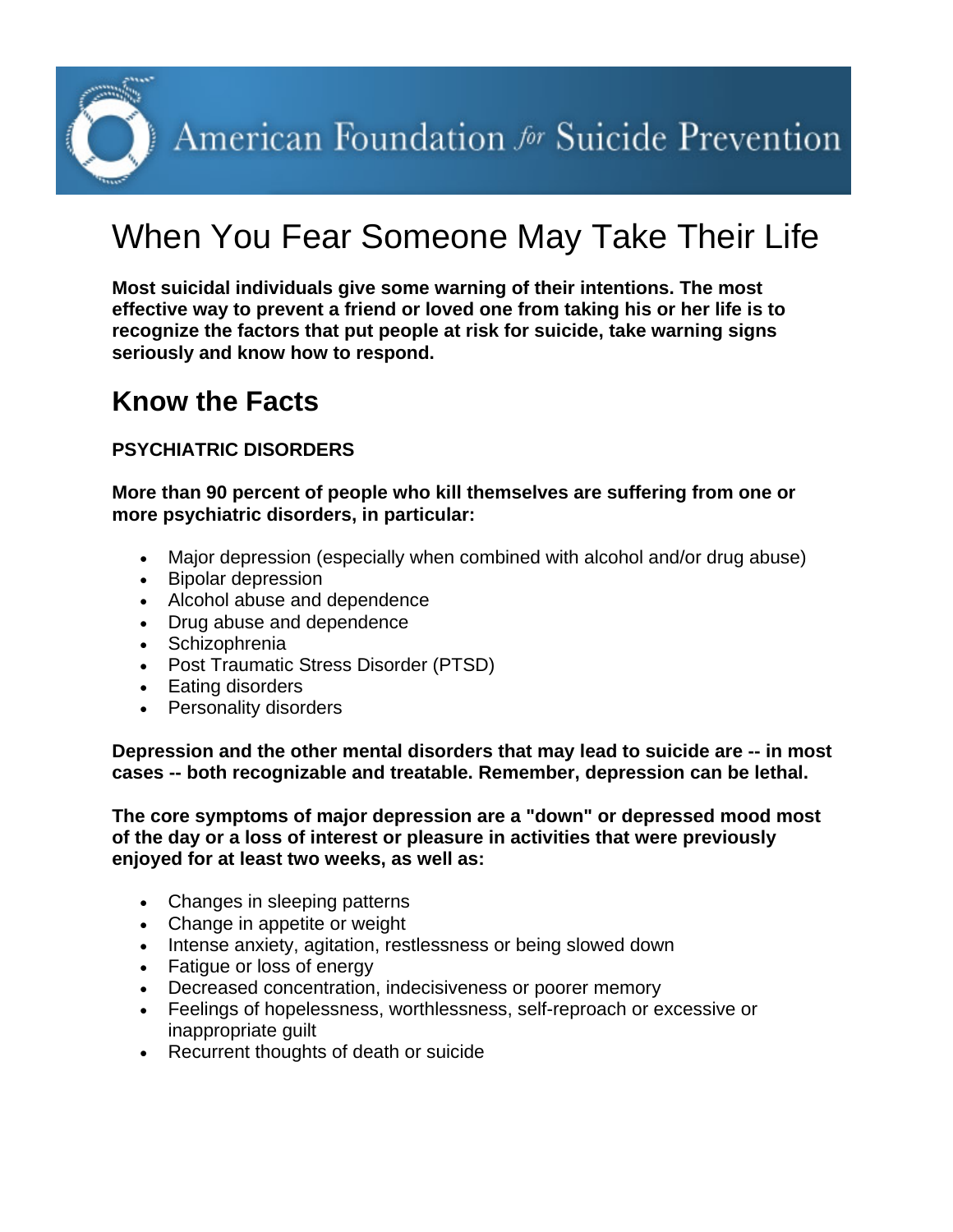American Foundation for Suicide Prevention

# When You Fear Someone May Take Their Life

**Most suicidal individuals give some warning of their intentions. The most effective way to prevent a friend or loved one from taking his or her life is to recognize the factors that put people at risk for suicide, take warning signs seriously and know how to respond.**

### **Know the Facts**

#### **PSYCHIATRIC DISORDERS**

**More than 90 percent of people who kill themselves are suffering from one or more psychiatric disorders, in particular:**

- Major depression (especially when combined with alcohol and/or drug abuse)
- Bipolar depression
- Alcohol abuse and dependence
- Drug abuse and dependence
- Schizophrenia
- Post Traumatic Stress Disorder (PTSD)
- Eating disorders
- Personality disorders

**Depression and the other mental disorders that may lead to suicide are -- in most cases -- both recognizable and treatable. Remember, depression can be lethal.**

**The core symptoms of major depression are a "down" or depressed mood most of the day or a loss of interest or pleasure in activities that were previously enjoyed for at least two weeks, as well as:**

- Changes in sleeping patterns
- Change in appetite or weight
- Intense anxiety, agitation, restlessness or being slowed down
- Fatigue or loss of energy
- Decreased concentration, indecisiveness or poorer memory
- Feelings of hopelessness, worthlessness, self-reproach or excessive or inappropriate guilt
- Recurrent thoughts of death or suicide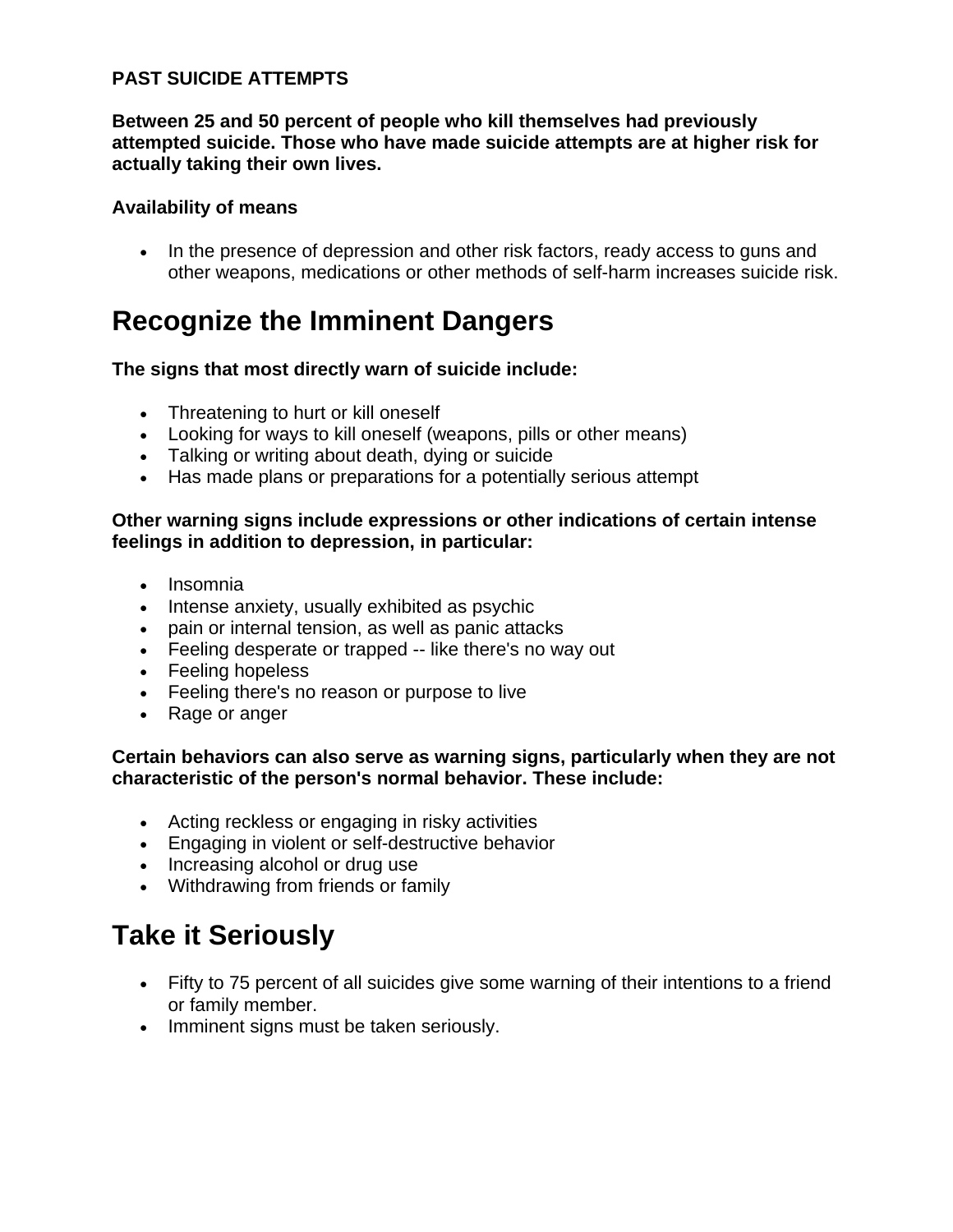#### **PAST SUICIDE ATTEMPTS**

**Between 25 and 50 percent of people who kill themselves had previously attempted suicide. Those who have made suicide attempts are at higher risk for actually taking their own lives.**

#### **Availability of means**

• In the presence of depression and other risk factors, ready access to guns and other weapons, medications or other methods of self-harm increases suicide risk.

### **Recognize the Imminent Dangers**

#### **The signs that most directly warn of suicide include:**

- Threatening to hurt or kill oneself
- Looking for ways to kill oneself (weapons, pills or other means)
- Talking or writing about death, dying or suicide
- Has made plans or preparations for a potentially serious attempt

#### **Other warning signs include expressions or other indications of certain intense feelings in addition to depression, in particular:**

- Insomnia
- Intense anxiety, usually exhibited as psychic
- pain or internal tension, as well as panic attacks
- Feeling desperate or trapped -- like there's no way out
- Feeling hopeless
- Feeling there's no reason or purpose to live
- Rage or anger

#### **Certain behaviors can also serve as warning signs, particularly when they are not characteristic of the person's normal behavior. These include:**

- Acting reckless or engaging in risky activities
- Engaging in violent or self-destructive behavior
- Increasing alcohol or drug use
- Withdrawing from friends or family

### **Take it Seriously**

- Fifty to 75 percent of all suicides give some warning of their intentions to a friend or family member.
- Imminent signs must be taken seriously.